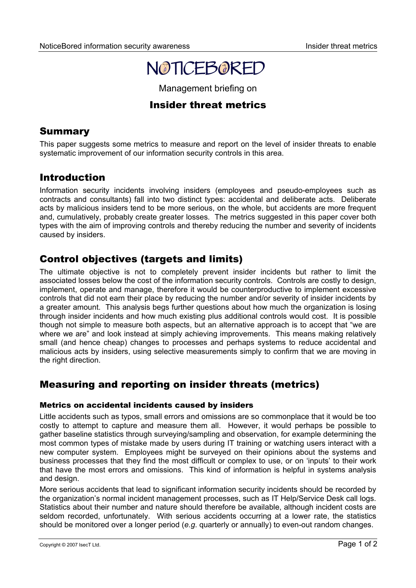# NOTICEBORED

Management briefing on

## Insider threat metrics

## Summary

This paper suggests some metrics to measure and report on the level of insider threats to enable systematic improvement of our information security controls in this area.

## Introduction

Information security incidents involving insiders (employees and pseudo-employees such as contracts and consultants) fall into two distinct types: accidental and deliberate acts. Deliberate acts by malicious insiders tend to be more serious, on the whole, but accidents are more frequent and, cumulatively, probably create greater losses. The metrics suggested in this paper cover both types with the aim of improving controls and thereby reducing the number and severity of incidents caused by insiders.

# Control objectives (targets and limits)

The ultimate objective is not to completely prevent insider incidents but rather to limit the associated losses below the cost of the information security controls. Controls are costly to design, implement, operate and manage, therefore it would be counterproductive to implement excessive controls that did not earn their place by reducing the number and/or severity of insider incidents by a greater amount. This analysis begs further questions about how much the organization is losing through insider incidents and how much existing plus additional controls would cost. It is possible though not simple to measure both aspects, but an alternative approach is to accept that "we are where we are" and look instead at simply achieving improvements. This means making relatively small (and hence cheap) changes to processes and perhaps systems to reduce accidental and malicious acts by insiders, using selective measurements simply to confirm that we are moving in the right direction.

# Measuring and reporting on insider threats (metrics)

#### Metrics on accidental incidents caused by insiders

Little accidents such as typos, small errors and omissions are so commonplace that it would be too costly to attempt to capture and measure them all. However, it would perhaps be possible to gather baseline statistics through surveying/sampling and observation, for example determining the most common types of mistake made by users during IT training or watching users interact with a new computer system. Employees might be surveyed on their opinions about the systems and business processes that they find the most difficult or complex to use, or on 'inputs' to their work that have the most errors and omissions. This kind of information is helpful in systems analysis and design.

More serious accidents that lead to significant information security incidents should be recorded by the organization's normal incident management processes, such as IT Help/Service Desk call logs. Statistics about their number and nature should therefore be available, although incident costs are seldom recorded, unfortunately. With serious accidents occurring at a lower rate, the statistics should be monitored over a longer period (*e.g*. quarterly or annually) to even-out random changes.